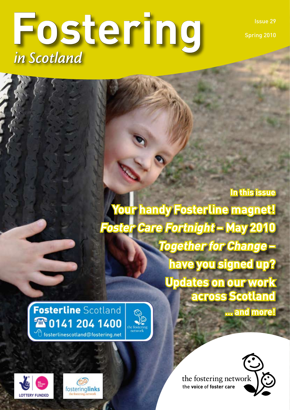Issue 29

Spring 2010

# **Fostering** *in Scotland*

**In this issue Your handy Fosterline magnet! Foster Care Fortnight – May 2010 Together for Change – have you signed up? Updates on our work across Scotland**

**... and more!**

**Fosterline** Scotland 26 0141 204 1400  $\mathcal{\hat{P}}$  fosterlinescotland@fostering.net









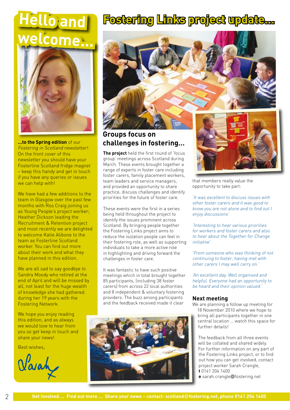# **Hello and welcome...**



**...to the Spring edition** of our Fostering in Scotland newsletter! On the front cover of this newsletter you should have your Fosterline Scotland fridge magnet – keep this handy and get in touch if you have any queries or issues we can help with!

We have had a few additions to the team in Glasgow over the past few months with Ros Craig joining us as Young People's project worker; Heather Dickson leading the Recruitment & Retention project and most recently we are delighted to welcome Katie Alibone to the team as Fosterline Scotland worker. You can find out more about their work and what they have planned in this edition.

We are all sad to say goodbye to Sandra Moody who retired at the end of April and will be missed by all, not least for the huge wealth of knowledge she had gathered during her 19 years with the Fostering Network.

We hope you enjoy reading this edition, and as always we would love to hear from you so get keep in touch and share your news!

Best wishes,

Varah

## **Fostering Links project update…**



### **Groups focus on challenges in fostering…**

**The project** held the first round of 'focus group' meetings across Scotland during March. These events brought together a range of experts in foster care including foster carers, family placement workers, team leaders and service managers, and provided an opportunity to share practice, discuss challenges and identify priorities for the future of foster care.

These events were the first in a series being held throughout the project to identify the issues prominent across Scotland. By bringing people together the Fostering Links project aims to reduce the isolation people can feel in their fostering role, as well as supporting individuals to take a more active role in highlighting and driving forward the challenges in foster care.

It was fantastic to have such positive meetings which in total brought together 85 participants, (including 38 foster carers) from across 22 local authorities and 8 independent & voluntary fostering providers. The buzz among participants and the feedback received made it clear





that members really value the opportunity to take part:

'It was excellent to discuss issues with other foster carers and it was good to know you are not alone and to find out I enjoy discussions'

'Interesting to hear various priorities for workers and foster carers and also to hear about the Together for Change *initiative* 

'From someone who was thinking of not continuing to foster, having met with other carers I may well carry on.'

'An excellent day. Well organised and helpful. Everyone had an opportunity to be heard and their opinion valued.'

#### **Next meeting**

We are planning a follow up meeting for

18 November 2010 where we hope to bring all participants together in one central location … watch this space for further details!

The feedback from all three events will be collated and shared widely. For further information on any part of the Fostering Links project, or to find out how you can get involved, contact project worker Sarah Crangle, **t** 0141 204 1400

**e** sarah.crangle@fostering.net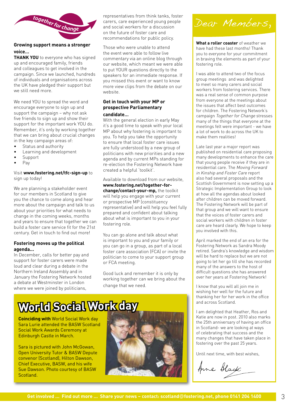

#### **Growing support means a stronger voice…**

**THANK YOU** to everyone who has signed up and encouraged family, friends and colleagues to get involved in the campaign. Since we launched, hundreds of individuals and organisations across the UK have pledged their support but we still need more.

We need YOU to spread the word and encourage everyone to sign up and support the campaign – why not ask five friends to sign up and show their support for the important work YOU do. Remember, it's only by working together that we can bring about crucial changes in the key campaign areas of:

- Status and authority •
- Learning and development •
- Support •
- Pay •

#### Visit **www.fostering.net/tfc-sign-up** to sign up today!

We are planning a stakeholder event for our members in Scotland to give you the chance to come along and hear more about the campaign and talk to us about your priorities for what needs to change in the coming weeks, months and years to ensure that together we can build a foster care service fit for the 21st century. Get in touch to find out more!

#### **Fostering moves up the political agenda...**

In December, calls for better pay and support for foster carers were made loud and clear during a debate in the Northern Ireland Assembly and in January the Fostering Network hosted a debate at Westminster in London where we were joined by politicians,

representatives from think tanks, foster carers, care experienced young people and social workers for a discussion on the future of foster care and recommendations for public policy.

Those who were unable to attend the event were able to follow live commentary via an online blog through our website, which meant we were able to put YOUR questions directly to the speakers for an immediate response. If you missed this event or want to know more view clips from the debate on our website.

#### **Get in touch with your MP or prospective Parliamentary candidate…**

With the general election in early May it's a good time to speak with your local MP about why fostering is important to you. To help you take the opportunity to ensure that local foster care issues are fully understood by a new group of politicians with new priorities and a new agenda and by current MPs standing for re-election the Fostering Network have created a helpful 'toolkit'.

Available to download from our website, **www.fostering.net/together-forchange/contact-your-mp,** the toolkit will help you engage with your current or prospective MP (constituency representative) and will help you feel fully prepared and confident about talking about what is important to you in your fostering role.

You can go alone and talk about what is important to you and your family or you can go in a group, as part of a local foster care association (FCA) or invite the politician to come to your support group or FCA meeting.

Good luck and remember it is only by working together can we bring about the change that we need.

# **World Social Work day**

**Coinciding with** World Social Work day Sara Lurie attended the BASW Scotland Social Work Awards Ceremony at Edinburgh Castle in March.

Sara is pictured with John McGowan, Open University Tutor & BASW Depute convenor (Scotland), Hilton Dawson, Chief Executive, BASW, and his wife Sue Dawson. Photo courtesy of BASW Scotland.





**What a roller coaster** of weather we have had these last months! Thank you to everyone for your commitment in braving the elements as part of your fostering role.

I was able to attend two of the focus group meetings and was delighted to meet so many carers and social workers from fostering services. There was a real sense of common purpose from everyone at the meetings about the issues that affect best outcomes for children. The Fostering Network's campaign Together for Change stresses many of the things that everyone at the meetings felt were important - we have a lot of work to do across the UK to make them realities!

Late last year a major report was published on residential care proposing many developments to enhance the care that young people receive if they are in residential care. The Moving Forward in Kinship and Foster Care report also had several proposals and the Scottish Government is now setting up a Strategic Implementation Group to look at how all the agendas about looked after children can be moved forward. The Fostering Network will be part of that group and we will want to ensure that the voices of foster carers and social workers with children in foster care are heard clearly. We hope to keep you involved with this.

April marked the end of an era for the Fostering Network as Sandra Moody retired. Sandra's knowledge and wisdom will be hard to replace but we are not going to let her go till she has recorded many of the answers to the host of difficult questions she has answered over her years at Fostering Network!

I know that you will all join me in wishing her well for the future and thanking her for her work in the office and across Scotland.

I am delighted that Heather, Ros and Katie are now in post. 2010 also marks the 25th anniversary of having an office in Scotland- we are looking at ways of celebrating that success and the many changes that have taken place in fostering over the past 25 years.

Until next time, with best wishes,

Anne Black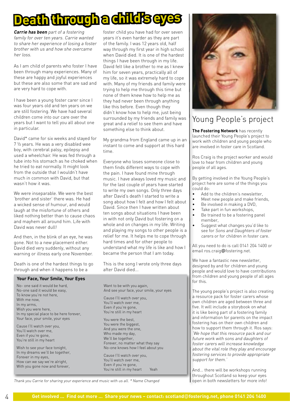# **Death through a child's**

**Carrie has been** part of a fostering family for over ten years. Carrie wanted to share her experience of losing a foster brother with us and how she overcame her loss.

As I am child of parents who foster I have been through many experiences. Many of these are happy and joyful experiences but these are also some that are sad and are very hard to cope with.

I have been a young foster carer since I was four years old and ten years on we are still fostering. We have had several children come into our care over the years but I want to tell you all about one in particular.

David\* came for six weeks and stayed for 7 ½ years. He was a very disabled wee boy, with cerebral palsy, epilepsy and used a wheelchair. He was fed through a tube into his stomach as he choked when he tried to eat normally. It might look from the outside that I wouldn't have much in common with David, but that wasn't how it was.

We were inseparable. We were the best 'brother and sister' there was. He had a wicked sense of humour, and would laugh at the misfortune of others and liked nothing better than to cause chaos and mayhem all around him. Life with David was never dull!

And then, in the blink of an eye, he was gone. Not to a new placement either. David died very suddenly, without any warning or illness early one November.

Death is one of the hardest things to go through and when it happens to be a

#### **Your Face, Your Smile, Your Eyes**

No- one said it would be hard, No-one said it would be easy, To know you're not here, With me now, In my arms, Wish you were here, In my special place to be here forever, Your face, your smile, your eyes

Cause I'll watch over you, You'll watch over me, Even if you're gone, You're still in my heart

Wish to see your face tonight, In my dreams we'll be together, Forever in my eyes, How can we say we're alright, With you gone now and forever,

foster child you have had for over seven years it's even harder as they are part of the family. I was 12 years old, half way through my first year in high school when David died. It is one of the hardest things I have been through in my life. David felt like a brother to me as I knew him for seven years, practically all of my life, so it was extremely hard to cope with. Many of my friends and family were trying to help me through this time but none of them knew how to help me as they had never been through anything like this before. Even though they didn't know how to help me, just being surrounded by my friends and family was great and a relief to see them and have something else to think about.

My grandma from England came up in an instant to come and support at this hard time.

Everyone who loses someone close to them finds different ways to cope with the pain. I have found mine through music. I have always loved my music and for the last couple of years have started to write my own songs. Only three days after David's death I started to write a song about how I felt and how I felt about David. Since then I have written about ten songs about situations I have been in with not only David but fostering on a whole and on changes in my life. Writing and playing my songs to other people is a relief for me. It helps me to cope through hard times and for other people to understand what my life is like and how I became the person that I am today.

This is the song I wrote only three days after David died...

Want to be with you again, And see your face, your smile, your eyes Cause I'll watch over you, You'll watch over me, Even if you're gone, You're still in my heart

You were the best, You were the biggest, And you were the one, Who made my day, We'll be together, Forever, no matter what they say No-one knows how I feel about you

Cause I'll watch over you, You'll watch over me, Even if you're gone, You're still in my heart Yeah



### Young People's project

**The Fostering Network** has recently launched their Young People's project to work with children and young people who are involved in foster care in Scotland.

Ros Craig is the project worker and would love to hear from children and young people of all ages.

By getting involved in the Young People's project here are some of the things you could do:

- Add to the children's newsletter, •
- Meet new people and make friends, •
- Be involved in making a DVD, •
- Take part in fun workshops, •
- Be trained to be a fostering panel member, •
- Suggest what changes you'd like to see for Sons and Daughters of foster carers or for children in foster care. •

All you need to do is call 0141 204 1400 or email ros.craig@fostering.net.

We have a fantastic new newsletter, designed by and for children and young people and would love to have contributions from children and young people of all ages for this.

The young people's project is also creating a resource pack for foster carers whose own children are aged between three and five. It will include a storybook on what it is like being part of a fostering family and information for parents on the impact fostering has on their own children and how to support them through it. Ros says: 'We hope that this resource pack and our future work with sons and daughters of foster carers will increase knowledge about the vital role they play and encourage fostering services to provide appropriate support for them.'

And... there will be workshops running throughout Scotland so keep your eyes open in both newsletters for more info!

Thank you Carrie for sharing your experience and music with us all. \* Name Changed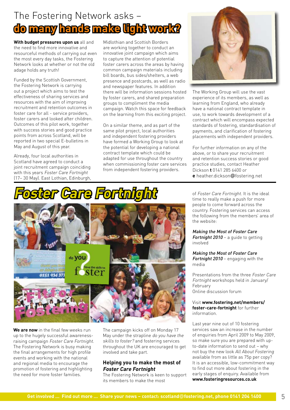### The Fostering Network asks – **do many hands make light work?**

**With budget pressures upon us** all and the need to find more innovative and resourceful methods of carrying out even the most every day tasks, the Fostering Network looks at whether or not the old adage holds any truth!

Funded by the Scottish Government, the Fostering Network is carrying out a project which aims to test the effectiveness of sharing services and resources with the aim of improving recruitment and retention outcomes in foster care for all - service providers, foster carers and looked after children. Outcomes of this pilot work, together with success stories and good practice points from across Scotland, will be reported in two special E-bulletins in May and August of this year.

Already, four local authorities in Scotland have agreed to conduct a joint recruitment campaign coinciding with this years Foster Care Fortnight (17– 30 May). East Lothian, Edinburgh, Midlothian and Scottish Borders are working together to conduct an innovative joint campaign which aims to capture the attention of potential foster carers across the areas by having common campaign materials including bill boards, bus sides/shelters, a web presence and postcards, as well as radio and newspaper features. In addition there will be information sessions hosted by foster carers, and shared preparation groups to compliment the media campaign. Watch this space for feedback on the learning from this exciting project.

On a similar theme, and as part of the same pilot project, local authorities and independent fostering providers have formed a Working Group to look at the potential for developing a national contract template which could be adapted for use throughout the country when commissioning foster care services from independent fostering providers.



The Working Group will use the vast experience of its members, as well as learning from England, who already have a national contract template in use, to work towards development of a contract which will encompass expected standards of fostering, standardisation of payments, and clarification of fostering placements with independent providers.

For further information on any of the above, or to share your recruitment and retention success stories or good practice studies, contact Heather Dickson **t** 0141 285 6400 or **e** heather.dickson@fostering.net





**We are now** in the final few weeks run up to the hugely successful awarenessraising campaign Foster Care Fortnight. The Fostering Network is busy making the final arrangements for high profile events and working with the national and regional media to encourage the promotion of fostering and highlighting the need for more foster families.

The campaign kicks off on Monday 17 May under the strapline do you have the skills to foster? and fostering services throughout the UK are encouraged to get involved and take part.

#### **Helping you to make the most of Foster Care Fortnight**

The Fostering Network is keen to support its members to make the most

of Foster Care Fortnight. It is the ideal time to really make a push for more people to come forward across the country. Fostering services can access the following from the members' area of the website:

Making the Most of Foster Care Fortnight 2010 - a quide to getting involved

Making the Most of Foster Care Fortnight 2010 – engaging with the media

Presentations from the three Foster Care Fortnight workshops held in January/ February Online discussion forum

#### Visit **www.fostering.net/members/ foster-care-fortnight** for further information.

Last year nine out of 10 fostering services saw an increase in the number of enquiries from April 2009 to May 2009, so make sure you are prepared with upto-date information to send out – why not buy the new look All About Fostering available from as little as 75p per copy? It is an accessible, low-commitment way to find out more about fostering in the early stages of enquiry. Available from **www.fosteringresources.co.uk**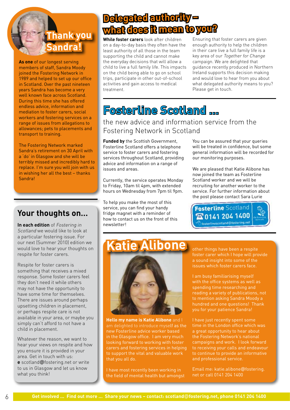### **Thank you Sandra!**

**As one** of our longest serving members of staff, Sandra Moody joined the Fostering Network in 1989 and helped to set up our office in Scotland. Over the past nineteen years Sandra has become a very well known face across Scotland. During this time she has offered endless advice, information and mediation to foster carers, social workers and fostering services on a range of issues from allegations to allowances; pets to placements and transport to training.

The Fostering Network marked Sandra's retirement on 30 April with a 'do' in Glasgow and she will be terribly missed and incredibly hard to replace. I'm sure you will join with us in wishing her all the best – thanks Sandra!

### **Your thoughts on…**

**In each edition** of Fostering in Scotland we would like to look at a particular fostering issue. For our next (Summer 2010) edition we would love to hear your thoughts on respite for foster carers.

Respite for foster carers is something that receives a mixed response. Some foster carers feel they don't need it while others may not have the opportunity to have some time for themselves. There are issues around perhaps upsetting children in placement, or perhaps respite care is not available in your area, or maybe you simply can't afford to not have a child in placement.

Whatever the reason, we want to hear your views on respite and how you ensure it is provided in your area. Get in touch with us:

**e** scotland@fostering.net or write to us in Glasgow and let us know what you think!

### **Delegated authority – what does it mean to you?**

**While foster carers** look after children on a day-to-day basis they often have the least authority of all those in the team supporting the child and cannot make the everyday decisions that will allow a child to live a full family life. This impacts on the child being able to go on school trips, participate in other out-of-school activities and gain access to medical treatment.

Ensuring that foster carers are given enough authority to help the children in their care live a full family life is a key area of our Together for Change campaign. We are delighted that guidance recently produced in Northern Ireland supports this decision making and would love to hear from you about what delegated authority means to you? Please get in touch.

# **Fosterline Scotland …**

### the new advice and information service from the Fostering Network in Scotland

**Funded by** the Scottish Government, Fosterline Scotland offers a telephone service to foster carers and fostering services throughout Scotland, providing advice and information on a range of issues and areas.

Currently, the service operates Monday to Friday, 10am til 4pm, with extended hours on Wednesday from 7pm til 9pm.

To help you make the most of this service, you can find your handy fridge magnet with a reminder of how to contact us on the front of this newsletter!

You can be assured that your queries will be treated in confidence, but some general information will be recorded for our monitoring purposes.

We are pleased that Katie Alibone has now joined the team as Fosterline Scotland worker and we will be recruiting for another worker to the service. For further information about the post please contact Sara Lurie



# **Katie Alibone** other things have been a respite



**Hello my name is Katie Alibone** and I new Fosterline advice worker based in the Glasgow office. I am very much looking forward to working with foster carers and fostering services in helping to support the vital and valuable work that you all do.

I have most recently been working in the field of mental health but amongst foster carer which I hope will provide a sound insight into some of the issues which foster carers face.

I am busy familiarising myself with the office systems as well as spending time researching and reading a variety of publications, not to mention asking Sandra Moody a hundred and one questions! Thank you for your patience Sandra!

I have just recently spent some time in the London office which was a great opportunity to hear about the Fostering Network's national campaigns and work. I look forward to receiving your calls and endeavour to continue to provide an informative and professional service.

Email me: katie.alibone@fostering. net or call 0141 204 1400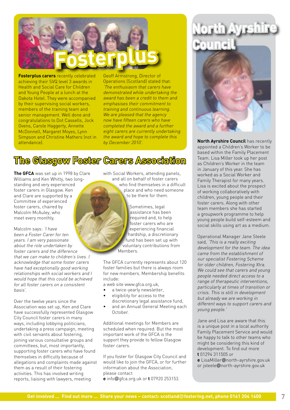

**Fosterplus carers** recently celebrated achieving their SVQ level 3 awards in Health and Social Care for Children and Young People at a lunch at the Dakota Hotel. They were accompanied by their supervising social workers, members of the training team and senior management. Well done and congratulations to Dot Cassells, Jock Ovens, Carole Haggerty, Annette McDonnell, Margaret Moyes, Lynn Simpson and Christine Mathers (not in attendance).

Geoff Armstrong, Director of Operations (Scotland) stated that: 'The enthusiasm that carers have demonstrated while undertaking the award has been a credit to them and emphasises their commitment to training and continuous learning. We are pleased that the agency now have fifteen carers who have completed the award and a further eight carers are currently undertaking the award and hope to complete this by December 2010'.

### **The Glasgow Foster Carers Association**

**The GFCA** was set up in 1998 by Clare Williams and Ken Whitty, two longstanding and very experienced foster carers in Glasgow. Ken and Clare are supported by a Committee of experienced foster carers, chaired by Malcolm McAuley, who meet every monthly.

Malcolm says: 'I have been a Foster Carer for ten years. I am very passionate about the role undertaken by foster carers and the difference that we can make to children's lives. I acknowledge that some foster carers have had exceptionally good working relationships with social workers and I would hope that this could be achieved for all foster carers on a consistent basis'.

Over the twelve years since the Association was set up, Ken and Clare have successfully represented Glasgow City Council foster carers in many ways, including lobbying politicians, undertaking a press campaign, meeting with civil servants about fostering, joining various consultative groups and committees, but, most importantly, supporting foster carers who have found themselves in difficulty because of allegations and complaints made against them as a result of their fostering activities. This has involved writing reports, liaising with lawyers, meeting

with Social Workers, attending panels, and all on behalf of foster carers who find themselves in a difficult place and who need someone to be there for them.



Sometimes, legal assistance has been required and, to help foster carers who are experiencing financial hardship, a discretionary fund has been set up with voluntary contributions from

The GFCA currently represents about 120 foster families but there is always room for new members. Membership benefits include:

a web site www.gfca.org.uk,

- a twice-yearly newsletter, •
- eligibility for access to the discretionary legal assistance fund, •
- and an Annual General Meeting each October. •

Additional meetings for Members are scheduled when required. But the most important work of the GFCA is the support they provide to fellow Glasgow foster carers.

If you foster for Glasgow City Council and would like to join the GFCA, or for further information about the Association, please contact **e** info@gfca.org.uk or **t** 07920 253153.

**North Ayrshire Council**



**North Ayrshire Council** has recently appointed a Children's Worker to be based within the Family Placement Team. Lisa Miller took up her post as Children's Worker in the team in January of this year. She has worked as a Social Worker and Family Therapist for many years. Lisa is excited about the prospect of working collaboratively with children, young people and their foster carers. Along with other team members she has started a groupwork programme to help young people build self-esteem and social skills using art as a medium.

Operational Manager Jane Steele said, 'This is a really exciting development for the team. The idea came from the establishment of our specialist Fostering Scheme for older children, Fostering Xtra. We could see that carers and young people needed direct access to a range of therapeutic interventions, particularly at times of transition or crisis. This is still in development but already we are working in different ways to support carers and young people.'

Jane and Lisa are aware that this is a unique post in a local authority Family Placement Service and would be happy to talk to other teams who might be considering this kind of development. To find out more **t** 01294 311505 or

**e** LisaMiller@north-ayrshire.gov.uk or jsteele@north-ayrshire.gov.uk